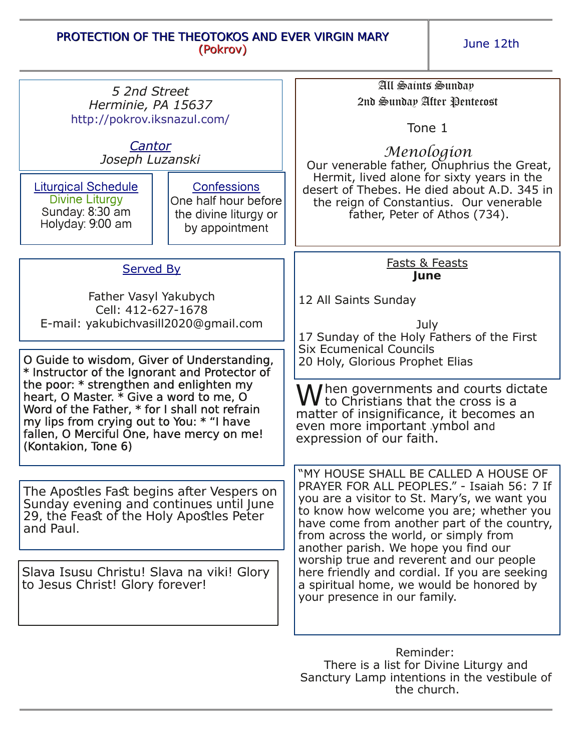## PROTECTION OF THE THEOTOKOS AND EVER VIRGIN MARY (Pokrov)

June 12th

| 5 2nd Street<br>Herminie, PA 15637<br>http://pokrov.iksnazul.com/                                                                                                                                                                                    |                                                                                       | All Saints Sunday<br>2nd Sunday After Pentecost                                                                                                                                                                                                                                                                                                                                                                                                                                         |
|------------------------------------------------------------------------------------------------------------------------------------------------------------------------------------------------------------------------------------------------------|---------------------------------------------------------------------------------------|-----------------------------------------------------------------------------------------------------------------------------------------------------------------------------------------------------------------------------------------------------------------------------------------------------------------------------------------------------------------------------------------------------------------------------------------------------------------------------------------|
|                                                                                                                                                                                                                                                      |                                                                                       | Tone 1                                                                                                                                                                                                                                                                                                                                                                                                                                                                                  |
| Cantor<br>Joseph Luzanski                                                                                                                                                                                                                            |                                                                                       | Menologion<br>Our venerable father, Onuphrius the Great,                                                                                                                                                                                                                                                                                                                                                                                                                                |
| <b>Liturgical Schedule</b><br>Divine Liturgy<br>Sunday: 8:30 am<br>Holyday: 9:00 am                                                                                                                                                                  | <b>Confessions</b><br>One half hour before<br>the divine liturgy or<br>by appointment | Hermit, lived alone for sixty years in the<br>desert of Thebes. He died about A.D. 345 in<br>the reign of Constantius. Our venerable<br>father, Peter of Athos (734).                                                                                                                                                                                                                                                                                                                   |
| <b>Served By</b>                                                                                                                                                                                                                                     |                                                                                       | Fasts & Feasts<br>June                                                                                                                                                                                                                                                                                                                                                                                                                                                                  |
| Father Vasyl Yakubych<br>Cell: 412-627-1678<br>E-mail: yakubichvasill2020@gmail.com                                                                                                                                                                  |                                                                                       | 12 All Saints Sunday                                                                                                                                                                                                                                                                                                                                                                                                                                                                    |
|                                                                                                                                                                                                                                                      |                                                                                       | July<br>17 Sunday of the Holy Fathers of the First<br><b>Six Ecumenical Councils</b><br>20 Holy, Glorious Prophet Elias                                                                                                                                                                                                                                                                                                                                                                 |
| O Guide to wisdom, Giver of Understanding,<br>* Instructor of the Ignorant and Protector of                                                                                                                                                          |                                                                                       |                                                                                                                                                                                                                                                                                                                                                                                                                                                                                         |
| the poor: * strengthen and enlighten my<br>heart, O Master. * Give a word to me, O<br>Word of the Father, * for I shall not refrain<br>my lips from crying out to You: * "I have<br>fallen, O Merciful One, have mercy on me!<br>(Kontakion, Tone 6) |                                                                                       | $\mathbf W$ hen governments and courts dictate $\mathbf W$ to Christians that the cross is a<br>matter of insignificance, it becomes an<br>even more important ymbol and<br>expression of our faith.                                                                                                                                                                                                                                                                                    |
| The Apostles Fast begins after Vespers on<br>Sunday evening and continues until June<br>29, the Feast of the Holy Apostles Peter<br>and Paul.<br>Slava Isusu Christu! Slava na viki! Glory                                                           |                                                                                       | "MY HOUSE SHALL BE CALLED A HOUSE OF<br>PRAYER FOR ALL PEOPLES." - Isaiah 56: 7 If<br>you are a visitor to St. Mary's, we want you<br>to know how welcome you are; whether you<br>have come from another part of the country,<br>from across the world, or simply from<br>another parish. We hope you find our<br>worship true and reverent and our people<br>here friendly and cordial. If you are seeking<br>a spiritual home, we would be honored by<br>your presence in our family. |
| to Jesus Christ! Glory forever!                                                                                                                                                                                                                      |                                                                                       |                                                                                                                                                                                                                                                                                                                                                                                                                                                                                         |
|                                                                                                                                                                                                                                                      |                                                                                       | Reminder:<br>There is a list for Divine Liturgy and<br>Sanctury Lamp intentions in the vestibule of                                                                                                                                                                                                                                                                                                                                                                                     |

the church.